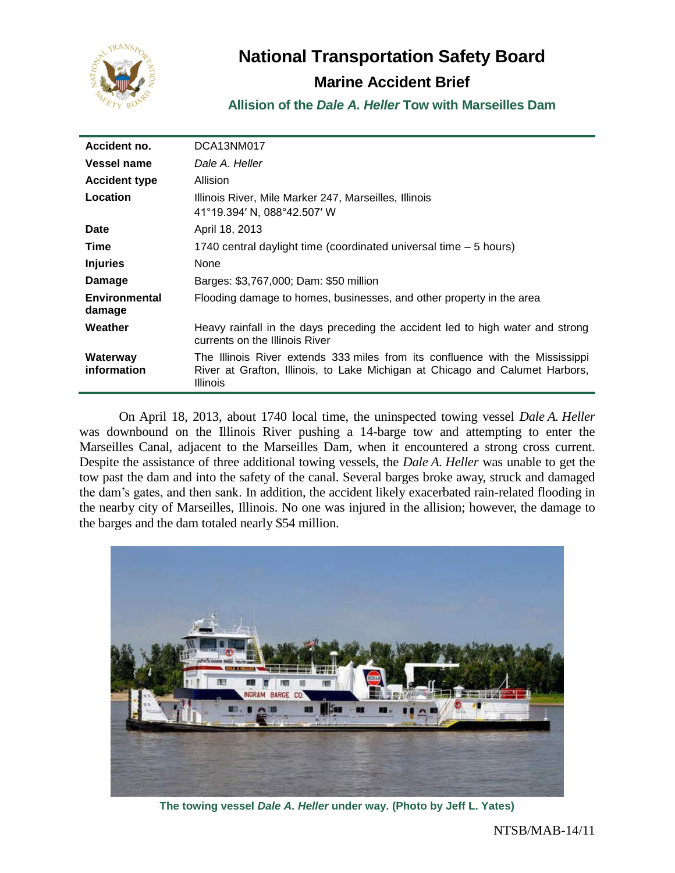

# **National Transportation Safety Board**

## **Marine Accident Brief**

**Allision of the** *Dale A. Heller* **Tow with Marseilles Dam**

| Accident no.                   | DCA13NM017                                                                                                                                                                |
|--------------------------------|---------------------------------------------------------------------------------------------------------------------------------------------------------------------------|
| Vessel name                    | Dale A. Heller                                                                                                                                                            |
| <b>Accident type</b>           | Allision                                                                                                                                                                  |
| Location                       | Illinois River, Mile Marker 247, Marseilles, Illinois<br>41°19.394' N, 088°42.507' W                                                                                      |
| <b>Date</b>                    | April 18, 2013                                                                                                                                                            |
| Time                           | 1740 central daylight time (coordinated universal time – 5 hours)                                                                                                         |
| <b>Injuries</b>                | None                                                                                                                                                                      |
| Damage                         | Barges: \$3,767,000; Dam: \$50 million                                                                                                                                    |
| <b>Environmental</b><br>damage | Flooding damage to homes, businesses, and other property in the area                                                                                                      |
| Weather                        | Heavy rainfall in the days preceding the accident led to high water and strong<br>currents on the Illinois River                                                          |
| Waterway<br>information        | The Illinois River extends 333 miles from its confluence with the Mississippi<br>River at Grafton, Illinois, to Lake Michigan at Chicago and Calumet Harbors,<br>Illinois |

On April 18, 2013, about 1740 local time, the uninspected towing vessel *Dale A. Heller* was downbound on the Illinois River pushing a 14-barge tow and attempting to enter the Marseilles Canal, adjacent to the Marseilles Dam, when it encountered a strong cross current. Despite the assistance of three additional towing vessels, the *Dale A. Heller* was unable to get the tow past the dam and into the safety of the canal. Several barges broke away, struck and damaged the dam's gates, and then sank. In addition, the accident likely exacerbated rain-related flooding in the nearby city of Marseilles, Illinois. No one was injured in the allision; however, the damage to the barges and the dam totaled nearly \$54 million.



**The towing vessel** *Dale A. Heller* **under way. (Photo by Jeff L. Yates)**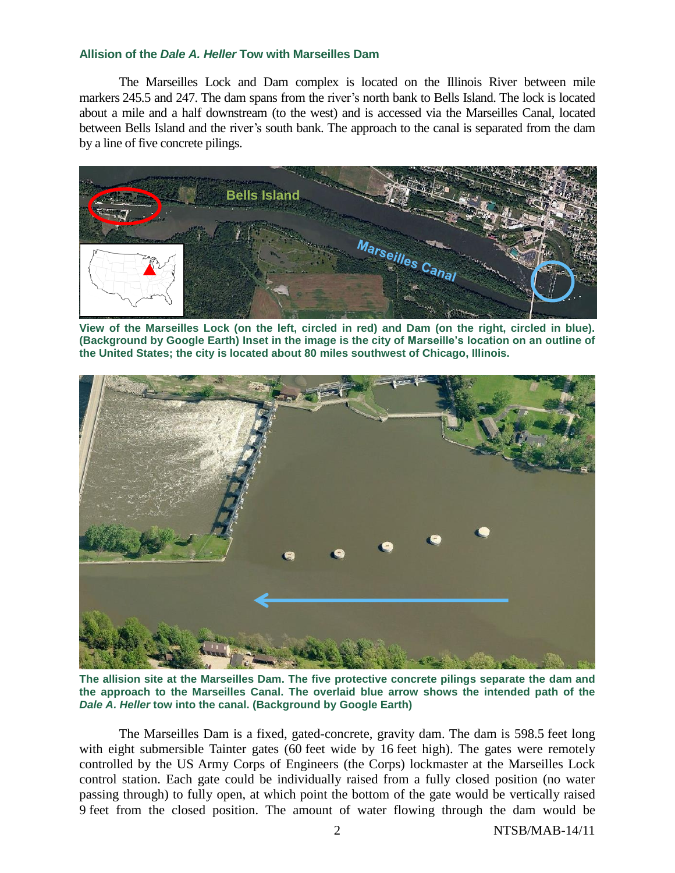The Marseilles Lock and Dam complex is located on the Illinois River between mile markers 245.5 and 247. The dam spans from the river's north bank to Bells Island. The lock is located about a mile and a half downstream (to the west) and is accessed via the Marseilles Canal, located between Bells Island and the river's south bank. The approach to the canal is separated from the dam by a line of five concrete pilings.



**View of the Marseilles Lock (on the left, circled in red) and Dam (on the right, circled in blue). (Background by Google Earth) Inset in the image is the city of Marseille's location on an outline of the United States; the city is located about 80 miles southwest of Chicago, Illinois.**



**The allision site at the Marseilles Dam. The five protective concrete pilings separate the dam and the approach to the Marseilles Canal. The overlaid blue arrow shows the intended path of the**  *Dale A. Heller* **tow into the canal. (Background by Google Earth)**

The Marseilles Dam is a fixed, gated-concrete, gravity dam. The dam is 598.5 feet long with eight submersible Tainter gates (60 feet wide by 16 feet high). The gates were remotely controlled by the US Army Corps of Engineers (the Corps) lockmaster at the Marseilles Lock control station. Each gate could be individually raised from a fully closed position (no water passing through) to fully open, at which point the bottom of the gate would be vertically raised 9 feet from the closed position. The amount of water flowing through the dam would be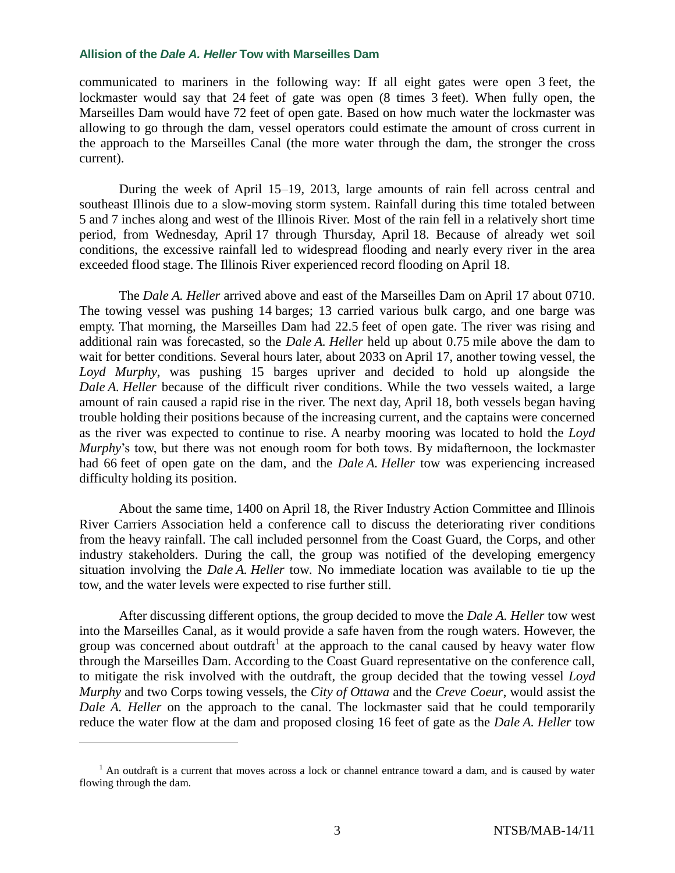communicated to mariners in the following way: If all eight gates were open 3 feet, the lockmaster would say that 24 feet of gate was open (8 times 3 feet). When fully open, the Marseilles Dam would have 72 feet of open gate. Based on how much water the lockmaster was allowing to go through the dam, vessel operators could estimate the amount of cross current in the approach to the Marseilles Canal (the more water through the dam, the stronger the cross current).

During the week of April 15–19, 2013, large amounts of rain fell across central and southeast Illinois due to a slow-moving storm system. Rainfall during this time totaled between 5 and 7 inches along and west of the Illinois River. Most of the rain fell in a relatively short time period, from Wednesday, April 17 through Thursday, April 18. Because of already wet soil conditions, the excessive rainfall led to widespread flooding and nearly every river in the area exceeded flood stage. The Illinois River experienced record flooding on April 18.

The *Dale A. Heller* arrived above and east of the Marseilles Dam on April 17 about 0710. The towing vessel was pushing 14 barges; 13 carried various bulk cargo, and one barge was empty. That morning, the Marseilles Dam had 22.5 feet of open gate. The river was rising and additional rain was forecasted, so the *Dale A. Heller* held up about 0.75 mile above the dam to wait for better conditions. Several hours later, about 2033 on April 17, another towing vessel, the *Loyd Murphy*, was pushing 15 barges upriver and decided to hold up alongside the *Dale A. Heller* because of the difficult river conditions. While the two vessels waited, a large amount of rain caused a rapid rise in the river. The next day, April 18, both vessels began having trouble holding their positions because of the increasing current, and the captains were concerned as the river was expected to continue to rise. A nearby mooring was located to hold the *Loyd Murphy*'s tow, but there was not enough room for both tows. By midafternoon, the lockmaster had 66 feet of open gate on the dam, and the *Dale A. Heller* tow was experiencing increased difficulty holding its position.

About the same time, 1400 on April 18, the River Industry Action Committee and Illinois River Carriers Association held a conference call to discuss the deteriorating river conditions from the heavy rainfall. The call included personnel from the Coast Guard, the Corps, and other industry stakeholders. During the call, the group was notified of the developing emergency situation involving the *Dale A. Heller* tow*.* No immediate location was available to tie up the tow, and the water levels were expected to rise further still.

After discussing different options, the group decided to move the *Dale A. Heller* tow west into the Marseilles Canal, as it would provide a safe haven from the rough waters. However, the group was concerned about outdraft<sup>1</sup> at the approach to the canal caused by heavy water flow through the Marseilles Dam. According to the Coast Guard representative on the conference call, to mitigate the risk involved with the outdraft, the group decided that the towing vessel *Loyd Murphy* and two Corps towing vessels, the *City of Ottawa* and the *Creve Coeur*, would assist the *Dale A. Heller* on the approach to the canal. The lockmaster said that he could temporarily reduce the water flow at the dam and proposed closing 16 feet of gate as the *Dale A. Heller* tow

 $\overline{a}$ 

<sup>&</sup>lt;sup>1</sup> An outdraft is a current that moves across a lock or channel entrance toward a dam, and is caused by water flowing through the dam.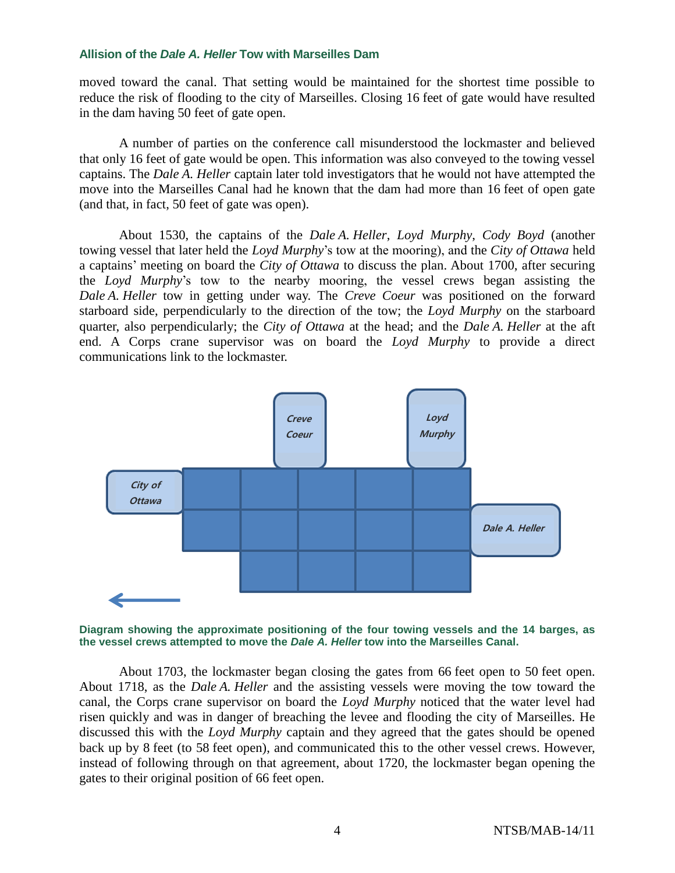moved toward the canal. That setting would be maintained for the shortest time possible to reduce the risk of flooding to the city of Marseilles. Closing 16 feet of gate would have resulted in the dam having 50 feet of gate open.

A number of parties on the conference call misunderstood the lockmaster and believed that only 16 feet of gate would be open. This information was also conveyed to the towing vessel captains. The *Dale A. Heller* captain later told investigators that he would not have attempted the move into the Marseilles Canal had he known that the dam had more than 16 feet of open gate (and that, in fact, 50 feet of gate was open).

About 1530, the captains of the *Dale A. Heller*, *Loyd Murphy*, *Cody Boyd* (another towing vessel that later held the *Loyd Murphy*'s tow at the mooring), and the *City of Ottawa* held a captains' meeting on board the *City of Ottawa* to discuss the plan. About 1700, after securing the *Loyd Murphy*'s tow to the nearby mooring, the vessel crews began assisting the *Dale A. Heller* tow in getting under way. The *Creve Coeur* was positioned on the forward starboard side, perpendicularly to the direction of the tow; the *Loyd Murphy* on the starboard quarter, also perpendicularly; the *City of Ottawa* at the head; and the *Dale A. Heller* at the aft end. A Corps crane supervisor was on board the *Loyd Murphy* to provide a direct communications link to the lockmaster.



**Diagram showing the approximate positioning of the four towing vessels and the 14 barges, as the vessel crews attempted to move the** *Dale A. Heller* **tow into the Marseilles Canal.**

About 1703, the lockmaster began closing the gates from 66 feet open to 50 feet open. About 1718, as the *Dale A. Heller* and the assisting vessels were moving the tow toward the canal, the Corps crane supervisor on board the *Loyd Murphy* noticed that the water level had risen quickly and was in danger of breaching the levee and flooding the city of Marseilles. He discussed this with the *Loyd Murphy* captain and they agreed that the gates should be opened back up by 8 feet (to 58 feet open), and communicated this to the other vessel crews. However, instead of following through on that agreement, about 1720, the lockmaster began opening the gates to their original position of 66 feet open.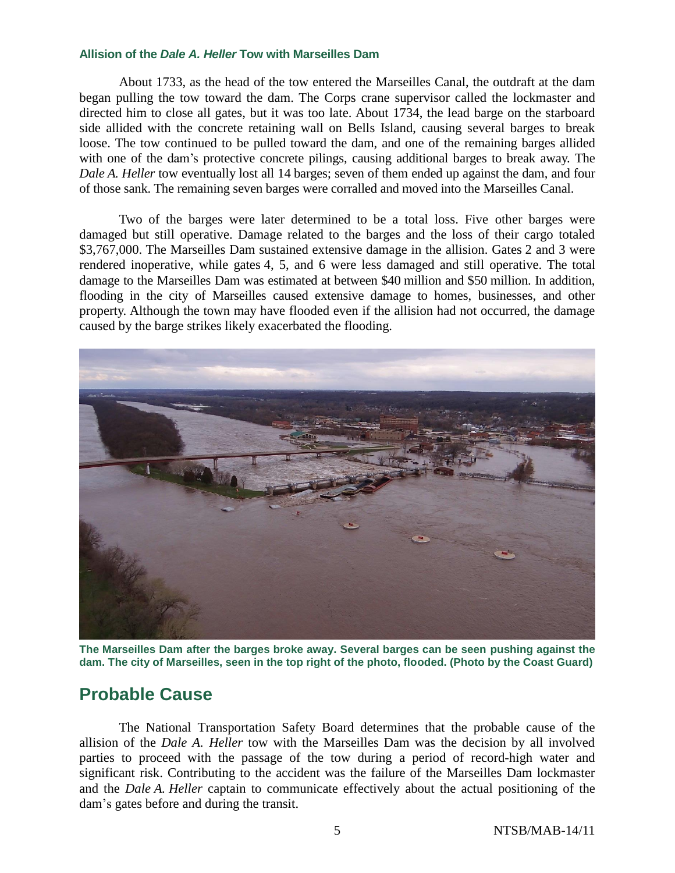About 1733, as the head of the tow entered the Marseilles Canal, the outdraft at the dam began pulling the tow toward the dam. The Corps crane supervisor called the lockmaster and directed him to close all gates, but it was too late. About 1734, the lead barge on the starboard side allided with the concrete retaining wall on Bells Island, causing several barges to break loose. The tow continued to be pulled toward the dam, and one of the remaining barges allided with one of the dam's protective concrete pilings, causing additional barges to break away. The *Dale A. Heller* tow eventually lost all 14 barges; seven of them ended up against the dam, and four of those sank. The remaining seven barges were corralled and moved into the Marseilles Canal.

Two of the barges were later determined to be a total loss. Five other barges were damaged but still operative. Damage related to the barges and the loss of their cargo totaled \$3,767,000. The Marseilles Dam sustained extensive damage in the allision. Gates 2 and 3 were rendered inoperative, while gates 4, 5, and 6 were less damaged and still operative. The total damage to the Marseilles Dam was estimated at between \$40 million and \$50 million. In addition, flooding in the city of Marseilles caused extensive damage to homes, businesses, and other property. Although the town may have flooded even if the allision had not occurred, the damage caused by the barge strikes likely exacerbated the flooding.



**The Marseilles Dam after the barges broke away. Several barges can be seen pushing against the dam. The city of Marseilles, seen in the top right of the photo, flooded. (Photo by the Coast Guard)**

## **Probable Cause**

The National Transportation Safety Board determines that the probable cause of the allision of the *Dale A. Heller* tow with the Marseilles Dam was the decision by all involved parties to proceed with the passage of the tow during a period of record-high water and significant risk. Contributing to the accident was the failure of the Marseilles Dam lockmaster and the *Dale A. Heller* captain to communicate effectively about the actual positioning of the dam's gates before and during the transit.